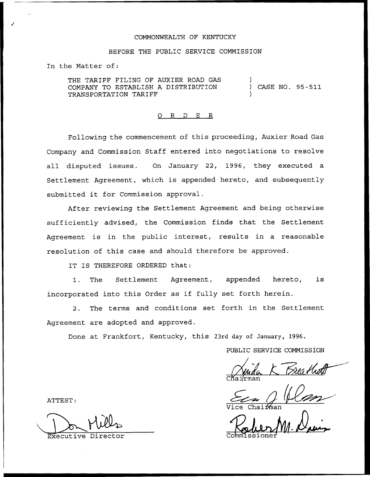## COMMONWEALTH OF KENTUCKY

# BEFORE THE PUBLIC SERVICE COMMISSION

In the Matter of:

THE TARIFF FILING OF AUXIER ROAD GAS COMPANY TO ESTABLISH A DISTRIBUTION TRANSPORTATION TARIFF ) ) CASE NO. 95-511 )

## 0 R <sup>D</sup> E R

Following the commencement of this proceeding, Auxier Road Gas Company and Commission Staff entered into negotiations to resolve all disputed issues. On January 22, 1996, they executed a Settlement Agreement, which is appended hereto, and subsequently submitted it for Commission approval.

After reviewing the Settlement Agreement and being otherwise sufficiently advised, the Commission finds that the Settlement Agreement is in the public interest, results in a reasonable resolution of this case and should therefore be approved.

IT IS THEREFORE ORDERED that:

1. The Settlement Agreement, appended hereto, is incorporated into this Order as if fully set forth herein.

2. The terms and conditions set forth in the Settlement Agreement are adopted and approved.

Done at Frankfort, Kentucky, this 23rd day of January, 1996.

PUBLIC SERVICE COMMISSION

<u>Breaths</u><br>11 0 C $\texttt{K}$ ai $\texttt{lr}$ man

ATTEST:

Executive Direc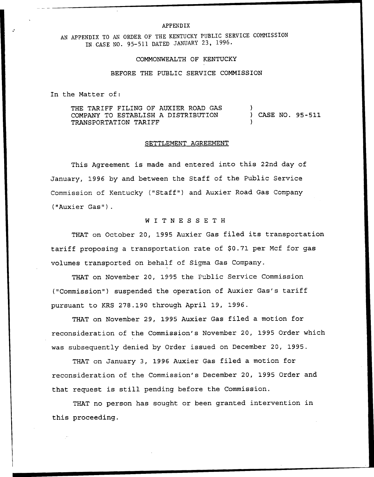#### APPENDIX

AN APPENDIX TO AN ORDER OF THE KENTUCKY PUBLIC SERUICE CONHISSION IN CASE NO. 95-511 DATED JANUARY 23, 1996.

### COMMONWEALTH OF KENTUCKY

## BEFORE THE PUBLIC SERVICE COMMISSION

In the Matter of:

THE TARIFF FILING OF AUXIER ROAD GAS COMPANY TO ESTABLISH A DISTRIBUTION TRANSPORTATION TARIFF ) ) CASE NO. 95-511 )

### SETTLEMENT AGREEMENT

This Agreement is made and entered into this 22nd day of January, 1996 by and between the Staff of the Public Service Commission of Kentucky ("Staff" ) and Auxier Road Gas Company ("Auxier Gas").

# <sup>N</sup> I <sup>T</sup> <sup>N</sup> <sup>E</sup> S <sup>S</sup> <sup>E</sup> <sup>T</sup> <sup>H</sup>

THAT on October 20, 1995 Auxier Gas filed its transportation tariff proposing a transportation rate of \$0.71 per Mcf for gas volumes transported on behalf of Sigma Gas Company.

THAT on November 20, 1995 the Public Service Commission ("Commission") suspended the operation of Auxier Gas's tariff pursuant to KRS 278.190 through April 19, 1996.

THAT on November 29, 1995 Auxier Gas filed a motion for reconsideration of the Commission's November 20, 1995 Order which was subsequently denied by Order issued on December 20, 1995.

THAT on January 3, 1996 Auxier Gas filed a motion for reconsideration of the Commission's December 20, 1995 Order and that request is still pending before the Commission.

THAT no person has sought or been granted intervention in this proceeding.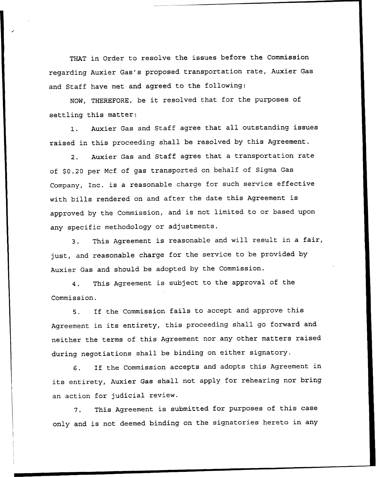THAT in Order to resolve the issues before the Commission regarding Auxier Gas's proposed transportation rate, Auxier Gas and Staff have met and agreed to the following:

NON, THEREFORE, be it resolved that for the purposes of settling this matter:

1. Auxier Gas and Staff agree that all outstanding issues raised in this proceeding shall be resolved by this Agreement.

2. Auxier Gas and Staff agree that <sup>a</sup> transportation rate of \$0.20 per Mcf of gas transported on behalf of Sigma Gas Company, Inc. is <sup>a</sup> reasonable charge for such service effective with bills rendered on and after the date this Agreement is approved by the Commission, and is not limited to or based upon any specific methodology or adjustments.

3. This Agreement is reasonable and will result in <sup>a</sup> fair, just, and reasonable charge for the service to be provided by Auxier Gas and should be adopted by the Commission.

4. This Agreement is subject to the approval of the Commission.

5. If the Commission fails to accept and approve this Agreement in its entirety, this proceeding shall go forward and neither the terms of this Agreement nor any other matters raised during negotiations shall be binding on either signatory.

6. If. the Commission accepts and adopts this Agreement in its entirety, Auxier Gas shall not apply for rehearing nor bring an action for judicial review.

7. This Agreement is submitted for purposes of this case only and is not deemed binding on the signatories hereto in any